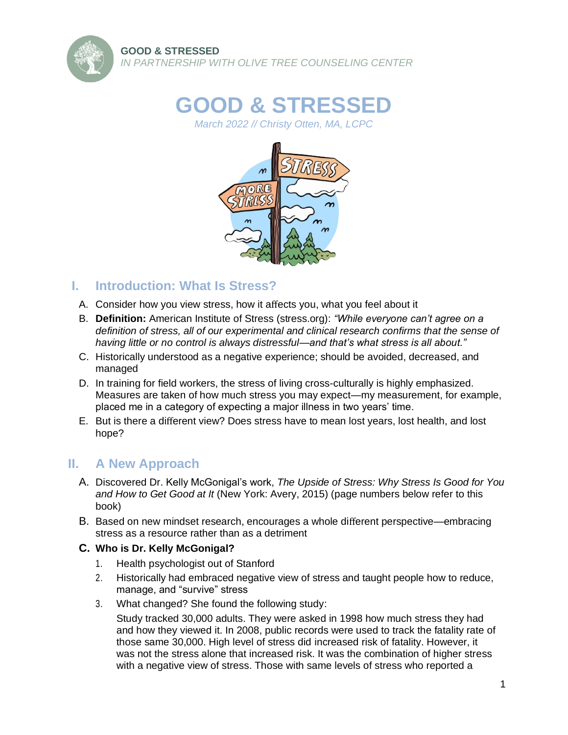

# **GOOD & STRESSED**

*March 2022 // Christy Otten, MA, LCPC*



## **I. Introduction: What Is Stress?**

- A. Consider how you view stress, how it affects you, what you feel about it
- B. **Definition:** American Institute of Stress (stress.org): *"While everyone can't agree on a definition of stress, all of our experimental and clinical research confirms that the sense of having little or no control is always distressful—and that's what stress is all about."*
- C. Historically understood as a negative experience; should be avoided, decreased, and managed
- D. In training for field workers, the stress of living cross-culturally is highly emphasized. Measures are taken of how much stress you may expect—my measurement, for example, placed me in a category of expecting a major illness in two years' time.
- E. But is there a different view? Does stress have to mean lost years, lost health, and lost hope?

# **II. A New Approach**

- A. Discovered Dr. Kelly McGonigal's work, *The Upside of Stress: Why Stress Is Good for You and How to Get Good at It* (New York: Avery, 2015) (page numbers below refer to this book)
- B. Based on new mindset research, encourages a whole different perspective—embracing stress as a resource rather than as a detriment

## **C. Who is Dr. Kelly McGonigal?**

- 1. Health psychologist out of Stanford
- 2. Historically had embraced negative view of stress and taught people how to reduce, manage, and "survive" stress
- 3. What changed? She found the following study:

Study tracked 30,000 adults. They were asked in 1998 how much stress they had and how they viewed it. In 2008, public records were used to track the fatality rate of those same 30,000. High level of stress did increased risk of fatality. However, it was not the stress alone that increased risk. It was the combination of higher stress with a negative view of stress. Those with same levels of stress who reported a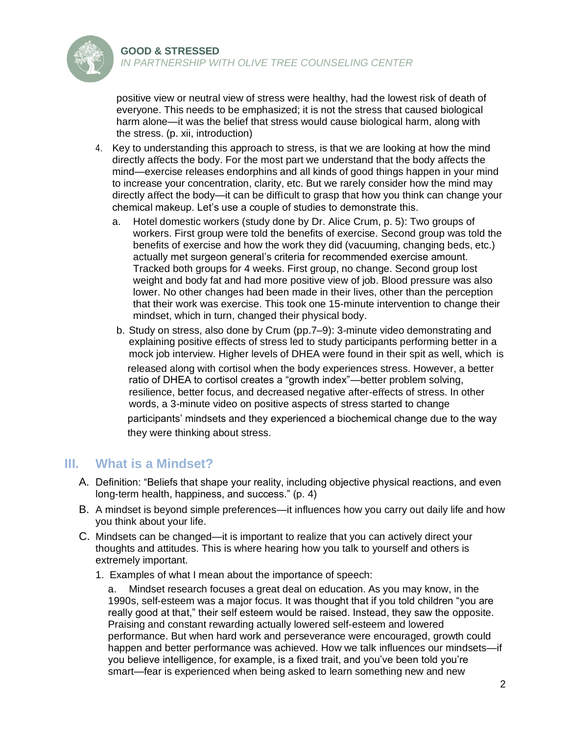

positive view or neutral view of stress were healthy, had the lowest risk of death of everyone. This needs to be emphasized; it is not the stress that caused biological harm alone—it was the belief that stress would cause biological harm, along with the stress. (p. xii, introduction)

- 4. Key to understanding this approach to stress, is that we are looking at how the mind directly affects the body. For the most part we understand that the body affects the mind—exercise releases endorphins and all kinds of good things happen in your mind to increase your concentration, clarity, etc. But we rarely consider how the mind may directly affect the body—it can be difficult to grasp that how you think can change your chemical makeup. Let's use a couple of studies to demonstrate this.
	- a. Hotel domestic workers (study done by Dr. Alice Crum, p. 5): Two groups of workers. First group were told the benefits of exercise. Second group was told the benefits of exercise and how the work they did (vacuuming, changing beds, etc.) actually met surgeon general's criteria for recommended exercise amount. Tracked both groups for 4 weeks. First group, no change. Second group lost weight and body fat and had more positive view of job. Blood pressure was also lower. No other changes had been made in their lives, other than the perception that their work was exercise. This took one 15-minute intervention to change their mindset, which in turn, changed their physical body.
	- b. Study on stress, also done by Crum (pp.7–9): 3-minute video demonstrating and explaining positive effects of stress led to study participants performing better in a mock job interview. Higher levels of DHEA were found in their spit as well, which is released along with cortisol when the body experiences stress. However, a better ratio of DHEA to cortisol creates a "growth index"—better problem solving, resilience, better focus, and decreased negative after-effects of stress. In other words, a 3-minute video on positive aspects of stress started to change participants' mindsets and they experienced a biochemical change due to the way they were thinking about stress.

# **III. What is a Mindset?**

- A. Definition: "Beliefs that shape your reality, including objective physical reactions, and even long-term health, happiness, and success." (p. 4)
- B. A mindset is beyond simple preferences—it influences how you carry out daily life and how you think about your life.
- C. Mindsets can be changed—it is important to realize that you can actively direct your thoughts and attitudes. This is where hearing how you talk to yourself and others is extremely important.
	- 1. Examples of what I mean about the importance of speech:

a. Mindset research focuses a great deal on education. As you may know, in the 1990s, self-esteem was a major focus. It was thought that if you told children "you are really good at that," their self esteem would be raised. Instead, they saw the opposite. Praising and constant rewarding actually lowered self-esteem and lowered performance. But when hard work and perseverance were encouraged, growth could happen and better performance was achieved. How we talk influences our mindsets—if you believe intelligence, for example, is a fixed trait, and you've been told you're smart—fear is experienced when being asked to learn something new and new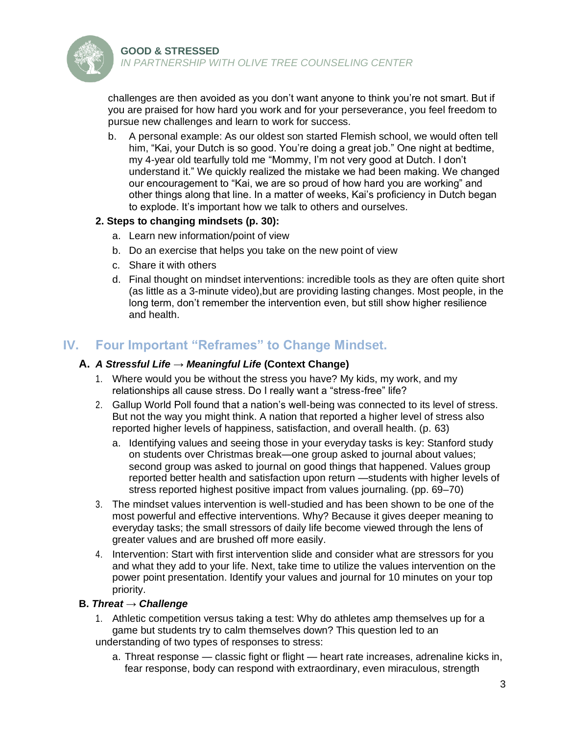

*IN PARTNERSHIP WITH OLIVE TREE COUNSELING CENTER*

challenges are then avoided as you don't want anyone to think you're not smart. But if you are praised for how hard you work and for your perseverance, you feel freedom to pursue new challenges and learn to work for success.

b. A personal example: As our oldest son started Flemish school, we would often tell him, "Kai, your Dutch is so good. You're doing a great job." One night at bedtime, my 4-year old tearfully told me "Mommy, I'm not very good at Dutch. I don't understand it." We quickly realized the mistake we had been making. We changed our encouragement to "Kai, we are so proud of how hard you are working" and other things along that line. In a matter of weeks, Kai's proficiency in Dutch began to explode. It's important how we talk to others and ourselves.

## **2. Steps to changing mindsets (p. 30):**

- a. Learn new information/point of view
- b. Do an exercise that helps you take on the new point of view
- c. Share it with others
- d. Final thought on mindset interventions: incredible tools as they are often quite short (as little as a 3-minute video),but are providing lasting changes. Most people, in the long term, don't remember the intervention even, but still show higher resilience and health.

## **IV. Four Important "Reframes" to Change Mindset.**

## **A.** *A Stressful Life → Meaningful Life* **(Context Change)**

- 1. Where would you be without the stress you have? My kids, my work, and my relationships all cause stress. Do I really want a "stress-free" life?
- 2. Gallup World Poll found that a nation's well-being was connected to its level of stress. But not the way you might think. A nation that reported a higher level of stress also reported higher levels of happiness, satisfaction, and overall health. (p. 63)
	- a. Identifying values and seeing those in your everyday tasks is key: Stanford study on students over Christmas break—one group asked to journal about values; second group was asked to journal on good things that happened. Values group reported better health and satisfaction upon return —students with higher levels of stress reported highest positive impact from values journaling. (pp. 69–70)
- 3. The mindset values intervention is well-studied and has been shown to be one of the most powerful and effective interventions. Why? Because it gives deeper meaning to everyday tasks; the small stressors of daily life become viewed through the lens of greater values and are brushed off more easily.
- 4. Intervention: Start with first intervention slide and consider what are stressors for you and what they add to your life. Next, take time to utilize the values intervention on the power point presentation. Identify your values and journal for 10 minutes on your top priority.

## **B.** *Threat → Challenge*

- 1. Athletic competition versus taking a test: Why do athletes amp themselves up for a game but students try to calm themselves down? This question led to an understanding of two types of responses to stress:
	- a. Threat response classic fight or flight heart rate increases, adrenaline kicks in, fear response, body can respond with extraordinary, even miraculous, strength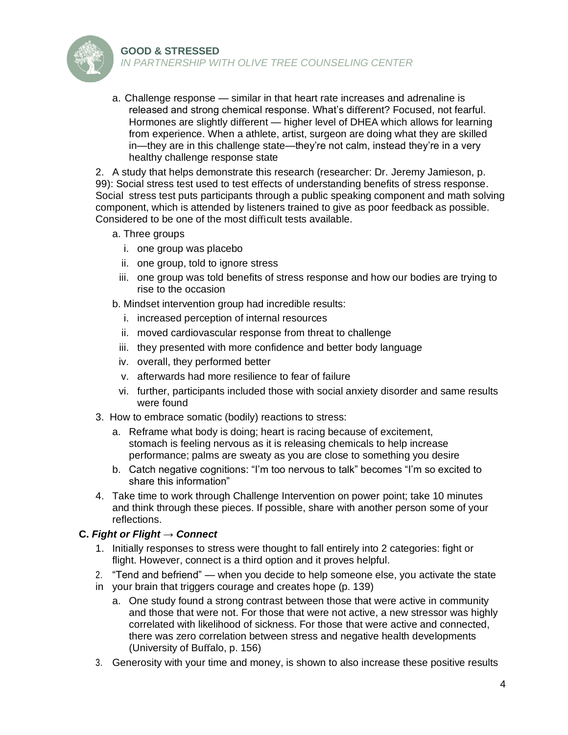#### **GOOD & STRESSED**



*IN PARTNERSHIP WITH OLIVE TREE COUNSELING CENTER*

a. Challenge response — similar in that heart rate increases and adrenaline is released and strong chemical response. What's different? Focused, not fearful. Hormones are slightly different — higher level of DHEA which allows for learning from experience. When a athlete, artist, surgeon are doing what they are skilled in—they are in this challenge state—they're not calm, instead they're in a very healthy challenge response state

2. A study that helps demonstrate this research (researcher: Dr. Jeremy Jamieson, p. 99): Social stress test used to test effects of understanding benefits of stress response. Social stress test puts participants through a public speaking component and math solving component, which is attended by listeners trained to give as poor feedback as possible. Considered to be one of the most difficult tests available.

- a. Three groups
	- i. one group was placebo
	- ii. one group, told to ignore stress
	- iii. one group was told benefits of stress response and how our bodies are trying to rise to the occasion
- b. Mindset intervention group had incredible results:
	- i. increased perception of internal resources
	- ii. moved cardiovascular response from threat to challenge
	- iii. they presented with more confidence and better body language
	- iv. overall, they performed better
	- v. afterwards had more resilience to fear of failure
	- vi. further, participants included those with social anxiety disorder and same results were found
- 3. How to embrace somatic (bodily) reactions to stress:
	- a. Reframe what body is doing; heart is racing because of excitement, stomach is feeling nervous as it is releasing chemicals to help increase performance; palms are sweaty as you are close to something you desire
	- b. Catch negative cognitions: "I'm too nervous to talk" becomes "I'm so excited to share this information"
- 4. Take time to work through Challenge Intervention on power point; take 10 minutes and think through these pieces. If possible, share with another person some of your reflections.

#### **C.** *Fight or Flight → Connect*

- 1. Initially responses to stress were thought to fall entirely into 2 categories: fight or flight. However, connect is a third option and it proves helpful.
- 2. "Tend and befriend" when you decide to help someone else, you activate the state
- in your brain that triggers courage and creates hope (p. 139)
	- a. One study found a strong contrast between those that were active in community and those that were not. For those that were not active, a new stressor was highly correlated with likelihood of sickness. For those that were active and connected, there was zero correlation between stress and negative health developments (University of Buffalo, p. 156)
- 3. Generosity with your time and money, is shown to also increase these positive results